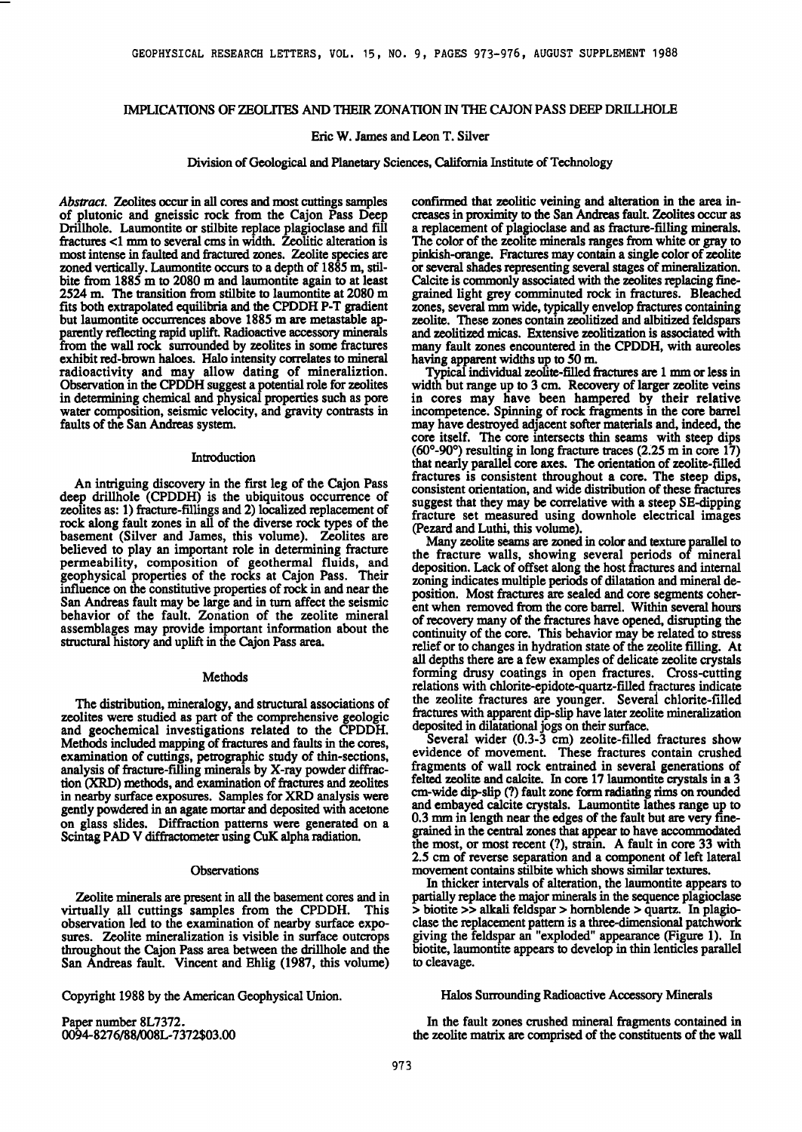## **IMPLICATIONS OF ZEOLITES AND THEIR ZONATION IN THE CAJON PASS DEEP DRILLHOLE**

## **Eric W. James and Leon T. Silver**

**Division of Geological and Planetary Sciences, California Institute of Technology** 

Abstract. Zeolites occur in all cores and most cuttings samples **of plutonic and gneissic rock from the Cajon Pass Deep Drillhole. Laumontite or stilbite replace plagioclase and fill fractures <1 mm to several cms in width. Zeolitic alteration is most intense in faulted and fractured zones. Zeolite species are zoned vertically. Laumontite occurs to a depth of 1885 m, stilbite from 1885 m to 2080 m and laumonfite again to at least 2524 m. The transition from sfilbite to laumonfite at 2080 m fits both extrapolated equilibria and the CPDDH P-T gradient**  but laumontite occurrences above 1885 m are metastable ap**parently reflecting rapid uplift. Radioactive accessory minerals from the wall rock surrounded by zeolites in some fractures exhibit red-brown haloes. Halo intensity correlates to mineral radioactivity and may allow dating of mineraliztion. Observation in the CPDDH suggest apotential role for zeolites in determining chemical and physical properties such as pore water composition, seismic velocity, and gravity contrasts in faults of the San Andreas system.** 

## **Introduction**

**An intriguing discovery in the first leg of the Cajon Pass deep drillhole (CPDDH) is the ubiquitous occurrence of zeolites as: 1) fracture-fillings and 2) localized replacement of rock along fault zones in all of the diverse rock types of the basement (Silver and James, this volume). Zeolites are believed to play an important role in determining fracture permeability, composition of geothermal fluids, and geophysical properties of the rocks at Cajon Pass. Their influence on the consfitutive properties of rock in and near the San Andreas fault may be large and in turn affect the seismic behavior of the fault. Zonation of the zeolite mineral assemblages may provide important information about the structural history and uplift in the Cajon Pass area.** 

#### **Methods**

**The distribution, mineralogy, and stmctmal associations of zeolites were studied as part of the comprehensive geologic and geochemical investigations related to the CPDDH. Methods included mapping of fractures and faults in the cores, examination of cuttings, petrographic study of thin-sections, analysis of fracture-filling minerals by X-ray powder diffraction (XRD) methods, and examination of fractures and zeolites in nearby surface exposures. Samples for XRD analysis were genfiy powdered in an agate mortar and deposited with acetone on glass slides. Diffraction patterns were generated on a Scintag PAD V diffractometer using CuK alpha radiation.** 

#### **Observations**

**Zeolite minerals are present in all the basement cores and in**  virtually all cuttings samples from the CPDDH. **observation led to the examination of nearby surface exposures. Zeolite mineralization is visible in surface outcrops throughout the Cajon Pass area between the drillhole and the San Andreas fault. Vincent and Ehlig (1987, this volume)** 

**Copyright 1988 by the American Geophysical Union.** 

**Paper number 8L7372. 0094- 8276/88/008L-7372503.00**  confirmed that zeolitic veining and alteration in the area in**creases in proximity to the San Andreas fault. Zeolites occur as a replacement of plagioclase and as fracture-filling minerals. The color of the zeolite minerals ranges from white or gray to pinkish-orange. Fractures may contain a single color of zeolite or several shades representing several stages of mineralization. Calcite is commonly associated with the zeolites replacing finegrained light grey comminuted rock in fractures. Bleached zones, several mm wide, typically envelop fractures containing zeolite. These zones contain zeolitized and albifized feldspars and zeolifized micas. Extensive zeolifizafion is associated with many fault zones encountered in the CPDDH, with aureoles having apparent widths up to 50 m.** 

**Typical individual zeolite-filled fracnaes are 1 mm or less in width but range up to 3 cm. Recovery of larger zeolite veins in cores may have been hampered by their relative incompetence. Spinning of rock fragments in the core barrel may have destroyed adjacent softer materials and, indeed, the core itself. The core intersects thin seams with steep dips (60o-90 ø) resulting in long fracture traces (Z25 m in core 17) that nearly parallel core axes. The orientation of zeolite-filled fractures is consistent throughout a core. The steep dips, consistent orientation, and wide distribution of these fractures suggest that they may be correlative with a steep SE-dipping fracture set measured using downhole electrical images (Pezard and Luthi, this volume).** 

**Many zeolite seams are zoned in color and texture parallel to the fracture walls, showing several periods of mineral deposition. Lack of offset along the host fractures and internal zoning indicates multiple periods of dilatation and mineral deposition. Most fractures are sealed and core segments coherent when removed from the core barrel. Within several hours of recovery many of the fractures have opened, disrupting the continuity of the core. This behavior may be related to stress relief or to changes in hydration state of the zeolite filling. At all depths there are a few examples of delicate zeolite crystals forming drusy coatings in open fractures. Cross-cutting relations with chlorite-epidote-quartz-filled fractures indicate the zeolite fractures are younger. Several chlorite-filled fractures with apparent dip-slip have later zeolite mineralization deposited in dilatational jogs on their surface.** 

**Several wider (0.3-3 cm) zeolite-filled fractures show evidence of movement. These fractures contain crushed fragments of wall rock entrained in several generations of**  felted zeolite and calcite. In core 17 laumontite crystals in a 3 **cm-wide dip-slip (?) fault zone form radiating rims on rounded**  and embayed calcite crystals. Laumontite lathes range up to **0.3 mm in length near the edges of the fault but are very finegrained in the central zones that appear to have accommodated the most, or most recent (?), strain. A fault in core 33 with 2.5 cm of reverse separation and a component of left lateral movement contains stilbite which shows similar textures.** 

**In thicker intervals of alteration, the laumontite appears to partially replace the major minerals in the sequence plagioclase > biotite >> alkali feldspar > hornblende > quartz. In plagioclase the replacement pattern is a three-dimensional patChWork giving the feldspar an "exploded" appearance (Figure 1). In biotite, laumontite appears to develop in thin lenticles parallel to cleavage.** 

## **Halos Surrounding Radioactive Accessory Minerals**

**In the fault zones crushed mineral fragments contained in the zeolite matrix are comprised of the constituents of the wall**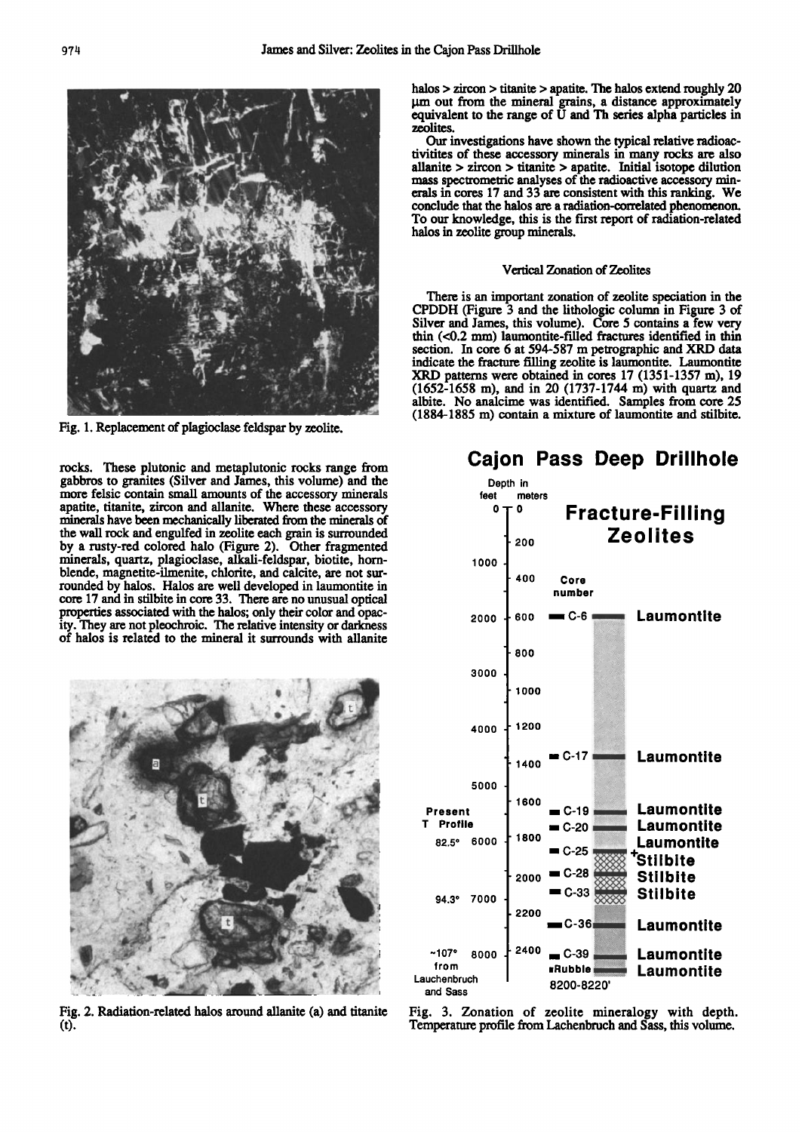

Fig. 1. Replacement of plagioclase feldspar by zeolite.

rocks. These plutonic and metaplutonic rocks range from gabbros to granites (Silver and James, this volume) and the more felsic contain small amounts of the accessory minerals apatite, titanite, zircon and allanite. Where these accessory minerals have been mechanically liberated from the minerals of the wall rock and engulfed in zeolite each grain is surrounded by a rusty-red colored halo (Figure 2). Other fragmented minerals, quartz, plagioclase, alkali-feldspar, biotite, hornblende, magnetite-ilmenite, chlorite, and calcite, are not surrounded by halos. Halos are well developed in laumontite in core 17 and in stilbite in core 33. There are no unusual optical properties associated with the halos; only their color and opacity. They are not pleochroic. The relative intensity or darkness of halos is related to the mineral it surrounds with allanite



Fig. 2. Radiation-related halos around allanite (a) and titanite  $(t).$ 

halos  $>$  zircon  $>$  titanite  $>$  apatite. The halos extend roughly 20 um out from the mineral grains, a distance approximately equivalent to the range of U and Th series alpha particles in zeolites.

Our investigations have shown the typical relative radioactivitities of these accessory minerals in many rocks are also allanite  $>$  zircon  $>$  titanite  $>$  apatite. Initial isotope dilution mass spectrometric analyses of the radioactive accessory minerals in cores 17 and 33 are consistent with this ranking. We conclude that the halos are a radiation-correlated phenomenon. To our knowledge, this is the first report of radiation-related halos in zeolite group minerals.

## Vertical Zonation of Zeolites

There is an important zonation of zeolite speciation in the CPDDH (Figure 3 and the lithologic column in Figure 3 of Silver and James, this volume). Core 5 contains a few very thin  $( $0.2 \text{ mm}$ )$  laumontite-filled fractures identified in thin section. In core 6 at 594-587 m petrographic and XRD data indicate the fracture filling zeolite is laumontite. Laumontite XRD patterns were obtained in cores 17 (1351-1357 m), 19 (1652-1658 m), and in 20 (1737-1744 m) with quartz and albite. No analcime was identified. Samples from core 25 (1884-1885 m) contain a mixture of laumontite and stilbite.



Fig. 3. Zonation of zeolite mineralogy with depth. Temperature profile from Lachenbruch and Sass, this volume.

# **Cajon Pass Deep Drillhole**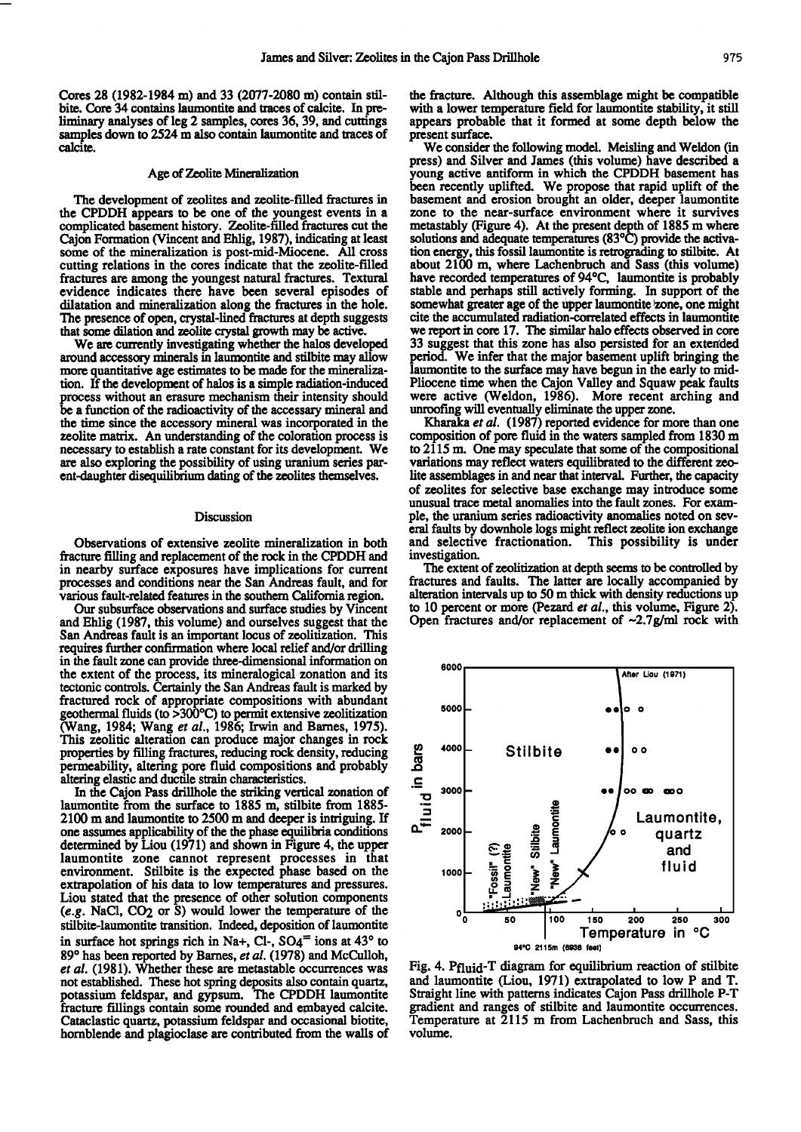Cores 28 (1982-1984 m) and 33 (2077-2080 m) contain stilbite. Core 34 contains laumontite and traces of calcite. In pre**liminary analyses of leg 2 samples, cores 36, 39, and cuttings**  samples down to 2524 m also contain laumontite and traces of **calcite.** 

## **Age of Zeolite Mineralization**

**The development of zeolites and zeolite-filled fractures in the CPDDH appears to be one of the youngest events in a complicated basement history. Zeolite-filled fractures cut the Cajon Formation (Vincent and Ehlig, 1987), indicating at least some of the mineralization is post-mid-Miocene. All cross cutting relations in the cores indicate that the zeolite-filled fractures are among the youngest natural fractures. Textural evidence indicates there have been several episodes of dilatation and mineralizafion along the fractures in the hole. The presence of open, crystal-lined fractures at depth suggests that some dilation and zeolite crystal growth may be active.** 

**We are currently investigating whether the halos developed around accessory minerals in laumontite and sfilbite may allow more quantitative age estimates to be made for the mineralizafion. If the development of halos is a simple radiation-induced process without an erasure mechanism their intensity should be a function of the radioactivity of the accessary mineral and the time since the accessory mineral was incorporated in the zeolite matrix. An understanding of the coloration process is necessary to establish a rate constant for its development. We are also exploring the possibility of using uranium series parent-daughter disequilibrium dating of the zeolites themselves.** 

## **Discussion**

**Observations of extensive zeolite mineralization in both fracture filling and replacement of the rock in the CPDDH and in nearby surface exposures have implications for current processes and conditions near the San Andreas fault, and for various fault-related features in the southern California region.** 

**Our subsurface observations and surface studies by Vincent**  and Ehlig (1987, this volume) and ourselves suggest that the **San Andreas fault is an important locus of zeolitizafion. This requires timher confirmation where local relief and/or drilling in the fault zone can provide three-dimensional information on the extent of the process, its mineralogical zonafion and its tectonic controls. Certainly the San Andreas fault is marked by fractured rock of appropriate compositions with abundant geothermal fluids (to >300øC) to permit extensive zeolifizafion (Wang, 1984; Wang et al., 1986; Irwin and Barnes, 1975).**  This zeolitic alteration can produce major changes in rock **properties by filling fractures, reducing rock density, reducing permeability, altering pore fluid compositions and probably altering elastic and ductile strain characteristics.** 

**In the Cajon Pass drillhole the striking vertical zonafion of**  laumontite from the surface to 1885 m, stilbite from 1885-**2100 m and laumonfite to 2500 m and deeper is intriguing. If one assumes applicability of the the phase equilibria conditions determined by Liou (1971) and shown in Figure 4, the upper laumontite zone cannot represent processes in that environment. Stilbite is the expected phase based on the extrapolation of his data to low temperatures and pressures. Liou stated that the presence of other solution components (e.g. NaC1, CO2 or S) would lower the temperature of the**  stilbite-laumontite transition. Indeed, deposition of laumontite in surface hot springs rich in Na+, Cl-,  $SO_4$ <sup> $\equiv$ </sup> ions at 43<sup>o</sup> to 89° has been reported by Barnes, et al. (1978) and McCulloh, et al. (1981). Whether these are metastable occurrences was **not established. These hot spring deposits also contain quartz, potassium feldspar, and gypsum. The CPDDH laumontite**  fracture fillings contain some rounded and embayed calcite. Cataclastic quartz, potassium feldspar and occasional biotite, **hornblende and plagioclase are contributed from the walls of** 

**the fracture. Although this assemblage might be compatible**  with a lower temperature field for laumontite stability, it still **appears probable that it formed at some depth below the present surface.** 

**We consider the following model. Meisling and Weldon (in press) and Silver and James (this volume) have described a young active antiform in which the CPDDH basement has been recently uplifted. We propose that rapid uplift of the**  basement and erosion brought an older, deeper laumontite **zone to the near-surface environment where it survives metastably (Figure 4). At the present depth of 1885 m where**  solutions and adequate temperatures (83°C) provide the activation energy, this fossil laumontite is retrograding to stilbite. At **about 2100 m, where Lachenbruch and Sass (this volume)**  have recorded temperatures of 94<sup>o</sup>C, laumontite is probably **stable and perhaps still actively forming. In support of the**  somewhat greater age of the upper laumontite zone, one might **cite the accumulated radiation-correlated effects in laumonfite we report in core 17. The similar halo effects observed in core**  33 suggest that this zone has also persisted for an extended **period. We infer that the major basement uplift bringing the**  laumontite to the surface may have begun in the early to mid-**Pliocene time when the Cajon Valley and Squaw peak faults**  were active (Weldon, 1986). More recent arching and **unroofing will eventually eliminate the upper zone.** 

**Kharaka et al. (1987) reported evidence for more than one composition of pore fluid in the waters sampled from 1830 m to 2115 m. One may speculate that some of the compositional variations may reflect waters equilibrated to the different zeo**lite assemblages in and near that interval. Further, the capacity **of zeolites for selective base exchange may introduce some unusual trace metal anomalies into the fault zones. For example, the uranium series radioactivity anomalies noted on several faults by downhole logs might reflect zeolite ion exchange and selective fractionation. This possibility is under investigation.** 

**The extent of zeolitization at depth seems to be controlled by fractures and faults. The latter are locally accompanied by alteration intervals up to 50 m thick with density reductions up to 10 percent or more (Pezard et al., this volume, Figure 2). Open fractures and/or replacement of ~2.7g/ml rock with** 



**Fig. 4. Pfiuid-T diagram for equilibrium reaction of stilbite**  and laumontite (Liou, 1971) extrapolated to low P and T. **Straight line with patterns indicates Cajon Pass drillhole P-T gradient and ranges of sfilbite and laumontite occurrences. Temperature at 2115 m from Lachenbruch and Sass, this volume.**